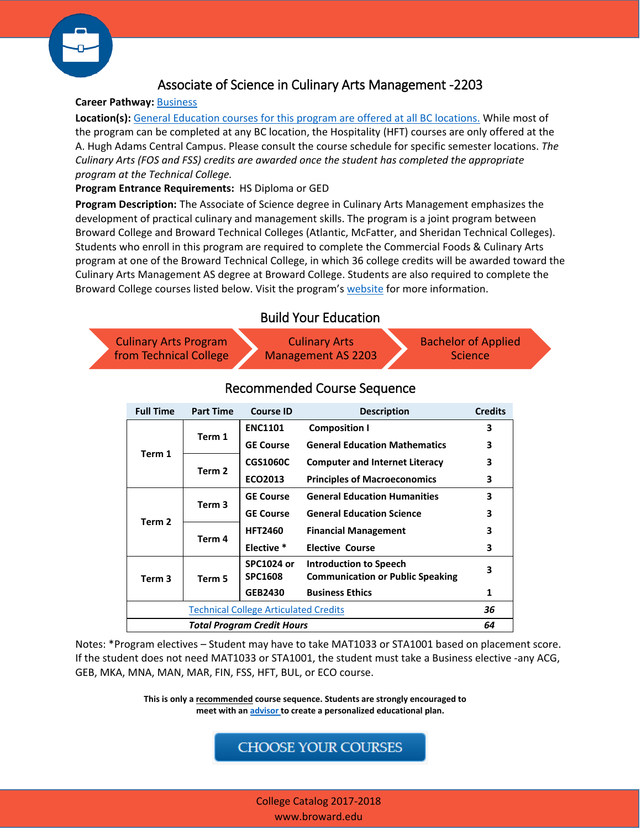

# Associate of Science in Culinary Arts Management -2203

### **Career Pathway:** [Business](http://www.broward.edu/academics/programs/Pages/business.aspx)

**Location(s):** [General Education courses for this program are offered at all BC locations.](http://www.broward.edu/locations/Pages/default.aspx) While most of the program can be completed at any BC location, the Hospitality (HFT) courses are only offered at the A. Hugh Adams Central Campus. Please consult the course schedule for specific semester locations. *The Culinary Arts (FOS and FSS) credits are awarded once the student has completed the appropriate program at the Technical College.*

#### **Program Entrance Requirements:** HS Diploma or GED

**Program Description:** The Associate of Science degree in Culinary Arts Management emphasizes the development of practical culinary and management skills. The program is a joint program between Broward College and Broward Technical Colleges (Atlantic, McFatter, and Sheridan Technical Colleges). Students who enroll in this program are required to complete the Commercial Foods & Culinary Arts program at one of the Broward Technical College, in which 36 college credits will be awarded toward the Culinary Arts Management AS degree at Broward College. Students are also required to complete the Broward College courses listed below. Visit the program's [website](http://www.broward.edu/academics/programs/Pages/business.aspx) for more information.

### Build Your Education

Culinary Arts Program [from Technical College](http://www.broward.edu/academics/cpl/Documents/Comercial%20Foods%20and%20Culinary%20Arts%20to%20Culinary%20Arts%20Management.pdf) Culinary Arts Management AS 2203 Bachelor of Applied **Science** 

| <b>Full Time</b>                             | <b>Part Time</b>  | <b>Course ID</b>                    | <b>Description</b>                                                       | <b>Credits</b> |
|----------------------------------------------|-------------------|-------------------------------------|--------------------------------------------------------------------------|----------------|
| Term 1                                       | Term 1            | <b>ENC1101</b>                      | <b>Composition I</b>                                                     | 3              |
|                                              |                   | <b>GE Course</b>                    | <b>General Education Mathematics</b>                                     | 3              |
|                                              | Term 2            | <b>CGS1060C</b>                     | <b>Computer and Internet Literacy</b>                                    | 3              |
|                                              |                   | ECO2013                             | <b>Principles of Macroeconomics</b>                                      | 3              |
| Term 2                                       | Term <sub>3</sub> | <b>GE Course</b>                    | <b>General Education Humanities</b>                                      | 3              |
|                                              |                   | <b>GE Course</b>                    | <b>General Education Science</b>                                         | 3              |
|                                              | Term 4            | <b>HFT2460</b>                      | <b>Financial Management</b>                                              | 3              |
|                                              |                   | Elective *                          | <b>Elective Course</b>                                                   | 3              |
| Term <sub>3</sub>                            | Term 5            | <b>SPC1024 or</b><br><b>SPC1608</b> | <b>Introduction to Speech</b><br><b>Communication or Public Speaking</b> | 3              |
|                                              |                   | <b>GEB2430</b>                      | <b>Business Ethics</b>                                                   | 1              |
| <b>Technical College Articulated Credits</b> |                   |                                     |                                                                          | 36             |
| Total Program Credit Hours                   |                   |                                     |                                                                          | 64             |

## Recommended Course Sequence

Notes: \*Program electives – Student may have to take MAT1033 or STA1001 based on placement score. If the student does not need MAT1033 or STA1001, the student must take a Business elective -any ACG, GEB, MKA, MNA, MAN, MAR, FIN, FSS, HFT, BUL, or ECO course.

> **This is only a recommended course sequence. Students are strongly encouraged to meet with an [advisor](http://www.broward.edu/studentresources/advising/Pages/default.aspx) to create a personalized educational plan.**

## **CHOOSE YOUR COURSES**

College Catalog 2017-2018 www.broward.edu